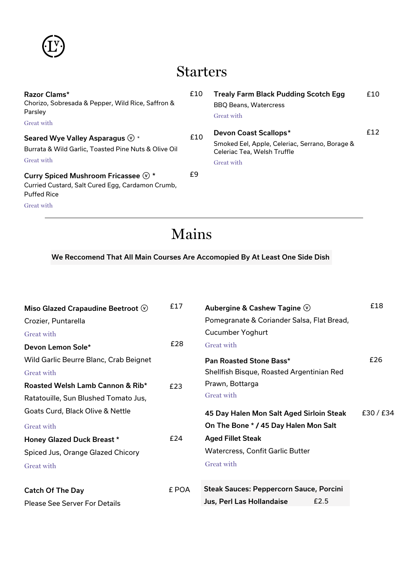

### Starters

| Razor Clams*<br>Chorizo, Sobresada & Pepper, Wild Rice, Saffron &<br>Parsley                                             | £10 | <b>Trealy Farm Black Pudding Scotch Egg</b><br><b>BBQ Beans, Watercress</b><br><b>Great with</b>                     | £10 |
|--------------------------------------------------------------------------------------------------------------------------|-----|----------------------------------------------------------------------------------------------------------------------|-----|
| Great with                                                                                                               |     |                                                                                                                      |     |
| Seared Wye Valley Asparagus $\mathbb{Q}$ *<br>Burrata & Wild Garlic, Toasted Pine Nuts & Olive Oil<br>Great with         | £10 | Devon Coast Scallops*<br>Smoked Eel, Apple, Celeriac, Serrano, Borage &<br>Celeriac Tea, Welsh Truffle<br>Great with | £12 |
| Curry Spiced Mushroom Fricassee $\mathbb{Q}$ *<br>Curried Custard, Salt Cured Egg, Cardamon Crumb,<br><b>Puffed Rice</b> | £9  |                                                                                                                      |     |
| <b>Great with</b>                                                                                                        |     |                                                                                                                      |     |

# Mains

### We Reccomend That All Main Courses Are Accomopied By At Least One Side Dish

| Miso Glazed Crapaudine Beetroot $\circledcirc$ | £17   | Aubergine & Cashew Tagine $\heartsuit$         | £18     |
|------------------------------------------------|-------|------------------------------------------------|---------|
| Crozier, Puntarella                            |       | Pomegranate & Coriander Salsa, Flat Bread,     |         |
| Great with                                     |       | <b>Cucumber Yoghurt</b>                        |         |
| Devon Lemon Sole*                              | £28   | <b>Great with</b>                              |         |
| Wild Garlic Beurre Blanc, Crab Beignet         |       | Pan Roasted Stone Bass*                        | £26     |
| Great with                                     |       | Shellfish Bisque, Roasted Argentinian Red      |         |
| Roasted Welsh Lamb Cannon & Rib*               | £23   | Prawn, Bottarga                                |         |
| Ratatouille, Sun Blushed Tomato Jus,           |       | Great with                                     |         |
| Goats Curd, Black Olive & Nettle               |       | 45 Day Halen Mon Salt Aged Sirloin Steak       | £30/£34 |
| Great with                                     |       | On The Bone * / 45 Day Halen Mon Salt          |         |
| <b>Honey Glazed Duck Breast *</b>              | £24   | <b>Aged Fillet Steak</b>                       |         |
| Spiced Jus, Orange Glazed Chicory              |       | <b>Watercress, Confit Garlic Butter</b>        |         |
| Great with                                     |       | <b>Great with</b>                              |         |
| <b>Catch Of The Day</b>                        | £ POA | <b>Steak Sauces: Peppercorn Sauce, Porcini</b> |         |
| <b>Please See Server For Details</b>           |       | £2.5<br>Jus, Perl Las Hollandaise              |         |